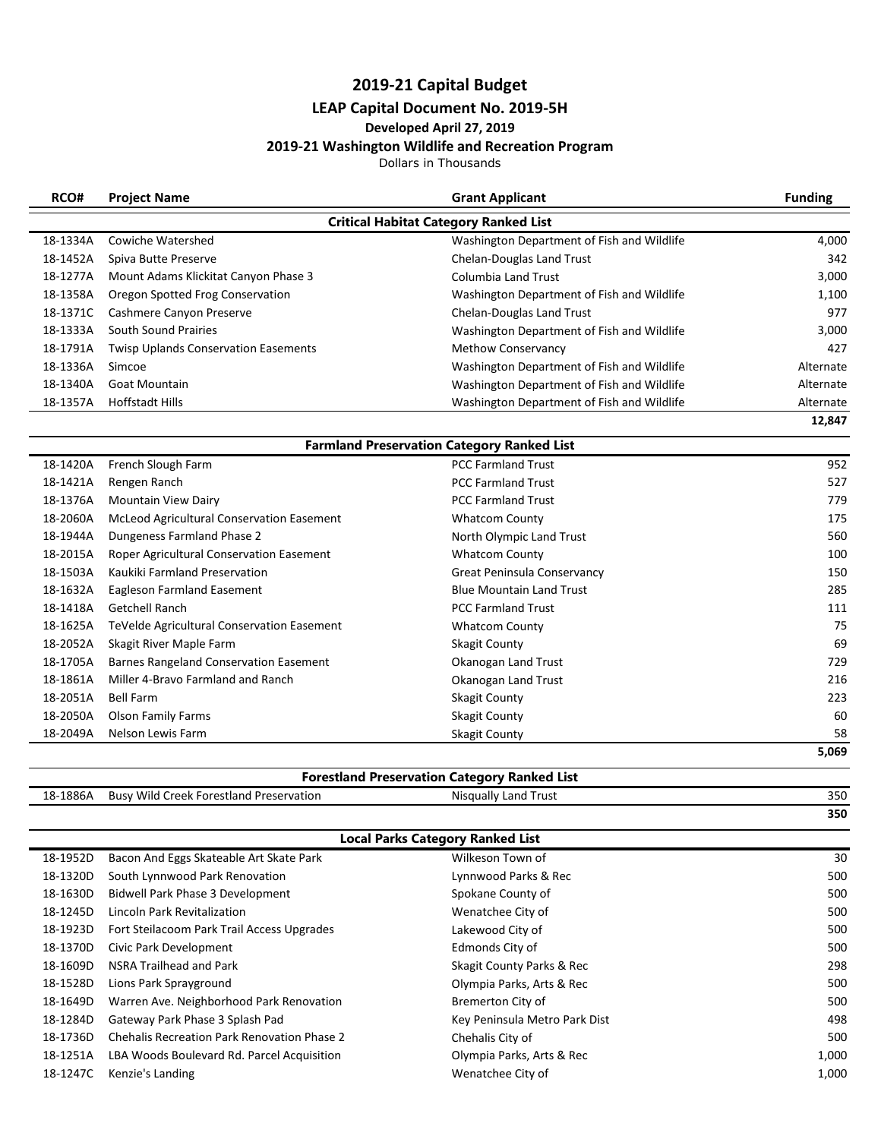# **2019-21 Capital Budget**

# **LEAP Capital Document No. 2019-5H**

## **Developed April 27, 2019**

#### **2019-21 Washington Wildlife and Recreation Program**

Dollars in Thousands

| RCO#     | <b>Project Name</b>                         | <b>Grant Applicant</b>                       | <b>Funding</b> |
|----------|---------------------------------------------|----------------------------------------------|----------------|
|          |                                             | <b>Critical Habitat Category Ranked List</b> |                |
| 18-1334A | Cowiche Watershed                           | Washington Department of Fish and Wildlife   | 4,000          |
| 18-1452A | Spiva Butte Preserve                        | Chelan-Douglas Land Trust                    | 342            |
| 18-1277A | Mount Adams Klickitat Canyon Phase 3        | Columbia Land Trust                          | 3,000          |
| 18-1358A | Oregon Spotted Frog Conservation            | Washington Department of Fish and Wildlife   | 1,100          |
| 18-1371C | Cashmere Canyon Preserve                    | Chelan-Douglas Land Trust                    | 977            |
| 18-1333A | South Sound Prairies                        | Washington Department of Fish and Wildlife   | 3,000          |
| 18-1791A | <b>Twisp Uplands Conservation Easements</b> | <b>Methow Conservancy</b>                    | 427            |
| 18-1336A | Simcoe                                      | Washington Department of Fish and Wildlife   | Alternate      |
| 18-1340A | Goat Mountain                               | Washington Department of Fish and Wildlife   | Alternate      |
| 18-1357A | <b>Hoffstadt Hills</b>                      | Washington Department of Fish and Wildlife   | Alternate      |
|          |                                             |                                              | 12,847         |

|          | <b>Farmland Preservation Category Ranked List</b> |                                 |       |  |
|----------|---------------------------------------------------|---------------------------------|-------|--|
| 18-1420A | French Slough Farm                                | <b>PCC Farmland Trust</b>       | 952   |  |
| 18-1421A | Rengen Ranch                                      | <b>PCC Farmland Trust</b>       | 527   |  |
| 18-1376A | <b>Mountain View Dairy</b>                        | <b>PCC Farmland Trust</b>       | 779   |  |
| 18-2060A | <b>McLeod Agricultural Conservation Easement</b>  | <b>Whatcom County</b>           | 175   |  |
| 18-1944A | Dungeness Farmland Phase 2                        | North Olympic Land Trust        | 560   |  |
| 18-2015A | Roper Agricultural Conservation Easement          | <b>Whatcom County</b>           | 100   |  |
| 18-1503A | Kaukiki Farmland Preservation                     | Great Peninsula Conservancy     | 150   |  |
| 18-1632A | Eagleson Farmland Easement                        | <b>Blue Mountain Land Trust</b> | 285   |  |
| 18-1418A | <b>Getchell Ranch</b>                             | <b>PCC Farmland Trust</b>       | 111   |  |
| 18-1625A | TeVelde Agricultural Conservation Easement        | <b>Whatcom County</b>           | 75    |  |
| 18-2052A | Skagit River Maple Farm                           | <b>Skagit County</b>            | 69    |  |
| 18-1705A | Barnes Rangeland Conservation Easement            | Okanogan Land Trust             | 729   |  |
| 18-1861A | Miller 4-Bravo Farmland and Ranch                 | Okanogan Land Trust             | 216   |  |
| 18-2051A | <b>Bell Farm</b>                                  | <b>Skagit County</b>            | 223   |  |
| 18-2050A | <b>Olson Family Farms</b>                         | <b>Skagit County</b>            | 60    |  |
| 18-2049A | Nelson Lewis Farm                                 | Skagit County                   | 58    |  |
|          |                                                   |                                 | 5,069 |  |

### **Forestland Preservation Category Ranked List**

| $-1886A$<br>18-: | <br><b>Forestland Preservation</b><br>Creek '<br>/ Wild<br><b>Busy</b> | .<br><sup>-</sup> rust<br>Land<br>Nisqually | 350 |
|------------------|------------------------------------------------------------------------|---------------------------------------------|-----|
|                  |                                                                        |                                             | 350 |

| <b>Local Parks Category Ranked List</b> |                                                    |                               |       |
|-----------------------------------------|----------------------------------------------------|-------------------------------|-------|
| 18-1952D                                | Bacon And Eggs Skateable Art Skate Park            | Wilkeson Town of              | 30    |
| 18-1320D                                | South Lynnwood Park Renovation                     | Lynnwood Parks & Rec          | 500   |
| 18-1630D                                | Bidwell Park Phase 3 Development                   | Spokane County of             | 500   |
| 18-1245D                                | Lincoln Park Revitalization                        | Wenatchee City of             | 500   |
| 18-1923D                                | Fort Steilacoom Park Trail Access Upgrades         | Lakewood City of              | 500   |
| 18-1370D                                | Civic Park Development                             | Edmonds City of               | 500   |
| 18-1609D                                | NSRA Trailhead and Park                            | Skagit County Parks & Rec     | 298   |
| 18-1528D                                | Lions Park Sprayground                             | Olympia Parks, Arts & Rec     | 500   |
| 18-1649D                                | Warren Ave. Neighborhood Park Renovation           | <b>Bremerton City of</b>      | 500   |
| 18-1284D                                | Gateway Park Phase 3 Splash Pad                    | Key Peninsula Metro Park Dist | 498   |
| 18-1736D                                | <b>Chehalis Recreation Park Renovation Phase 2</b> | Chehalis City of              | 500   |
| 18-1251A                                | LBA Woods Boulevard Rd. Parcel Acquisition         | Olympia Parks, Arts & Rec     | 1,000 |
| 18-1247C                                | Kenzie's Landing                                   | Wenatchee City of             | 1,000 |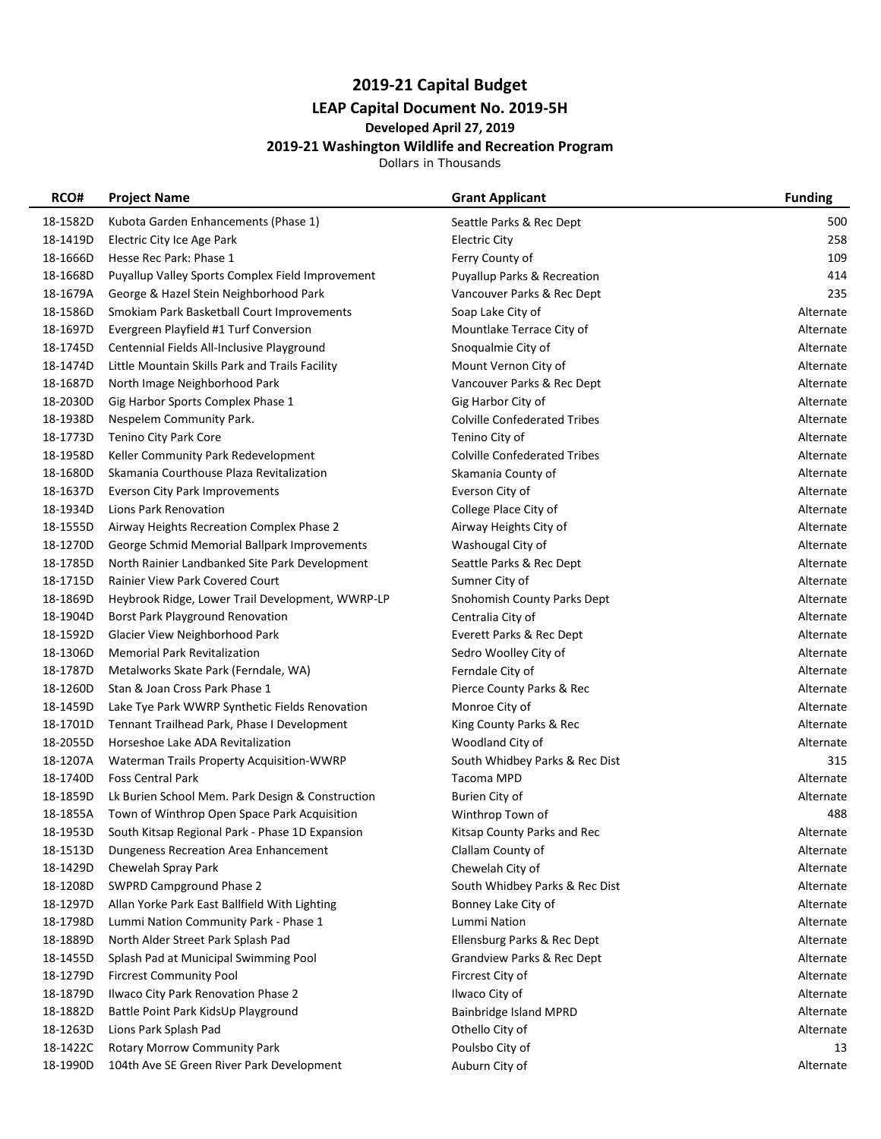# **2019-21 Capital Budget LEAP Capital Document No. 2019-5H**

## **Developed April 27, 2019**

#### **2019-21 Washington Wildlife and Recreation Program**

Dollars in Thousands

| RCO#     | <b>Project Name</b>                                      | <b>Grant Applicant</b>                 | <b>Funding</b> |
|----------|----------------------------------------------------------|----------------------------------------|----------------|
| 18-1582D | Kubota Garden Enhancements (Phase 1)                     | Seattle Parks & Rec Dept               | 500            |
| 18-1419D | Electric City Ice Age Park                               | Electric City                          | 258            |
| 18-1666D | Hesse Rec Park: Phase 1                                  | Ferry County of                        | 109            |
| 18-1668D | Puyallup Valley Sports Complex Field Improvement         | <b>Puyallup Parks &amp; Recreation</b> | 414            |
| 18-1679A | George & Hazel Stein Neighborhood Park                   | Vancouver Parks & Rec Dept             | 235            |
| 18-1586D | Smokiam Park Basketball Court Improvements               | Soap Lake City of                      | Alternate      |
| 18-1697D | Evergreen Playfield #1 Turf Conversion                   | Mountlake Terrace City of              | Alternate      |
| 18-1745D | Centennial Fields All-Inclusive Playground               | Snoqualmie City of                     | Alternate      |
| 18-1474D | Little Mountain Skills Park and Trails Facility          | Mount Vernon City of                   | Alternate      |
| 18-1687D | North Image Neighborhood Park                            | Vancouver Parks & Rec Dept             | Alternate      |
| 18-2030D | Gig Harbor Sports Complex Phase 1                        | Gig Harbor City of                     | Alternate      |
| 18-1938D | Nespelem Community Park.                                 | <b>Colville Confederated Tribes</b>    | Alternate      |
| 18-1773D | Tenino City Park Core                                    | Tenino City of                         | Alternate      |
| 18-1958D | Keller Community Park Redevelopment                      | <b>Colville Confederated Tribes</b>    | Alternate      |
| 18-1680D | Skamania Courthouse Plaza Revitalization                 | Skamania County of                     | Alternate      |
| 18-1637D | <b>Everson City Park Improvements</b>                    | Everson City of                        | Alternate      |
| 18-1934D | Lions Park Renovation                                    | College Place City of                  | Alternate      |
| 18-1555D | Airway Heights Recreation Complex Phase 2                | Airway Heights City of                 | Alternate      |
| 18-1270D | George Schmid Memorial Ballpark Improvements             | Washougal City of                      | Alternate      |
| 18-1785D | North Rainier Landbanked Site Park Development           | Seattle Parks & Rec Dept               | Alternate      |
| 18-1715D | Rainier View Park Covered Court                          | Sumner City of                         | Alternate      |
| 18-1869D | Heybrook Ridge, Lower Trail Development, WWRP-LP         | Snohomish County Parks Dept            | Alternate      |
| 18-1904D | <b>Borst Park Playground Renovation</b>                  | Centralia City of                      | Alternate      |
| 18-1592D | Glacier View Neighborhood Park                           | Everett Parks & Rec Dept               | Alternate      |
| 18-1306D | <b>Memorial Park Revitalization</b>                      | Sedro Woolley City of                  | Alternate      |
| 18-1787D | Metalworks Skate Park (Ferndale, WA)                     | Ferndale City of                       | Alternate      |
| 18-1260D | Stan & Joan Cross Park Phase 1                           | Pierce County Parks & Rec              | Alternate      |
| 18-1459D | Lake Tye Park WWRP Synthetic Fields Renovation           | Monroe City of                         | Alternate      |
| 18-1701D | Tennant Trailhead Park, Phase I Development              | King County Parks & Rec                | Alternate      |
| 18-2055D | Horseshoe Lake ADA Revitalization                        | Woodland City of                       | Alternate      |
| 18-1207A | Waterman Trails Property Acquisition-WWRP                | South Whidbey Parks & Rec Dist         | 315            |
| 18-1740D | <b>Foss Central Park</b>                                 | Tacoma MPD                             | Alternate      |
| 18-1859D | Lk Burien School Mem. Park Design & Construction         | Burien City of                         | Alternate      |
| 18-1855A | Town of Winthrop Open Space Park Acquisition             | Winthrop Town of                       | 488            |
|          | 18-1953D South Kitsap Regional Park - Phase 1D Expansion | Kitsap County Parks and Rec            | Alternate      |
| 18-1513D | Dungeness Recreation Area Enhancement                    | Clallam County of                      | Alternate      |
| 18-1429D | Chewelah Spray Park                                      | Chewelah City of                       | Alternate      |
| 18-1208D | <b>SWPRD Campground Phase 2</b>                          | South Whidbey Parks & Rec Dist         | Alternate      |
| 18-1297D | Allan Yorke Park East Ballfield With Lighting            | Bonney Lake City of                    | Alternate      |
| 18-1798D | Lummi Nation Community Park - Phase 1                    | Lummi Nation                           | Alternate      |
| 18-1889D | North Alder Street Park Splash Pad                       | Ellensburg Parks & Rec Dept            | Alternate      |
| 18-1455D | Splash Pad at Municipal Swimming Pool                    | <b>Grandview Parks &amp; Rec Dept</b>  | Alternate      |
| 18-1279D | <b>Fircrest Community Pool</b>                           | Fircrest City of                       | Alternate      |
| 18-1879D | Ilwaco City Park Renovation Phase 2                      | Ilwaco City of                         | Alternate      |
| 18-1882D | Battle Point Park KidsUp Playground                      | Bainbridge Island MPRD                 | Alternate      |
| 18-1263D | Lions Park Splash Pad                                    | Othello City of                        | Alternate      |
| 18-1422C | Rotary Morrow Community Park                             | Poulsbo City of                        | 13             |
| 18-1990D | 104th Ave SE Green River Park Development                | Auburn City of                         | Alternate      |
|          |                                                          |                                        |                |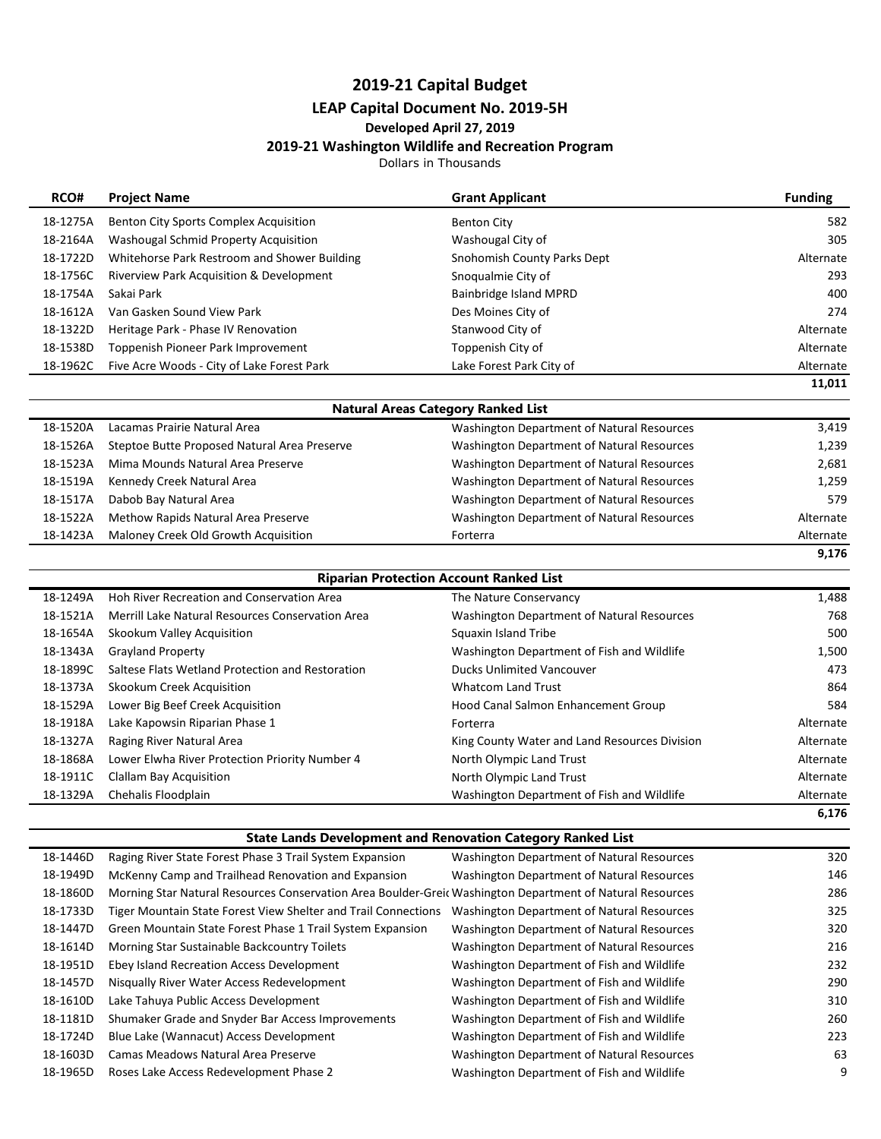# **2019-21 Capital Budget**

# **LEAP Capital Document No. 2019-5H**

## **Developed April 27, 2019**

#### **2019-21 Washington Wildlife and Recreation Program**

Dollars in Thousands

| RCO#     | <b>Project Name</b>                          | <b>Grant Applicant</b>                            | <b>Funding</b> |
|----------|----------------------------------------------|---------------------------------------------------|----------------|
| 18-1275A | Benton City Sports Complex Acquisition       | <b>Benton City</b>                                | 582            |
| 18-2164A | Washougal Schmid Property Acquisition        | Washougal City of                                 | 305            |
| 18-1722D | Whitehorse Park Restroom and Shower Building | Snohomish County Parks Dept                       | Alternate      |
| 18-1756C | Riverview Park Acquisition & Development     | Snoqualmie City of                                | 293            |
| 18-1754A | Sakai Park                                   | Bainbridge Island MPRD                            | 400            |
| 18-1612A | Van Gasken Sound View Park                   | Des Moines City of                                | 274            |
| 18-1322D | Heritage Park - Phase IV Renovation          | Stanwood City of                                  | Alternate      |
| 18-1538D | Toppenish Pioneer Park Improvement           | Toppenish City of                                 | Alternate      |
| 18-1962C | Five Acre Woods - City of Lake Forest Park   | Lake Forest Park City of                          | Alternate      |
|          |                                              |                                                   | 11,011         |
|          |                                              | <b>Natural Areas Category Ranked List</b>         |                |
| 18-1520A | Lacamas Prairie Natural Area                 | <b>Washington Department of Natural Resources</b> | 3,419          |
| 18-1526A | Steptoe Butte Proposed Natural Area Preserve | Washington Department of Natural Resources        | 1,239          |
| 18-1523A | Mima Mounds Natural Area Preserve            | <b>Washington Department of Natural Resources</b> | 2,681          |
| 18-1519A | Kennedy Creek Natural Area                   | Washington Department of Natural Resources        | 1,259          |
| 18-1517A | Dabob Bay Natural Area                       | <b>Washington Department of Natural Resources</b> | 579            |
| 18-1522A | Methow Rapids Natural Area Preserve          | <b>Washington Department of Natural Resources</b> | Alternate      |
| 18-1423A | Maloney Creek Old Growth Acquisition         | Forterra                                          | Alternate      |
|          |                                              |                                                   | 9,176          |
|          |                                              | <b>Riparian Protection Account Ranked List</b>    |                |
|          | $\overline{\phantom{a}}$<br>$\cdots$         |                                                   |                |

| Lower Elwha River Protection Priority Number 4<br>Clallam Bay Acquisition<br>Chehalis Floodplain | North Olympic Land Trust<br>North Olympic Land Trust<br>Washington Department of Fish and Wildlife | Alternate<br>Alternate |
|--------------------------------------------------------------------------------------------------|----------------------------------------------------------------------------------------------------|------------------------|
|                                                                                                  |                                                                                                    | Alternate              |
|                                                                                                  |                                                                                                    |                        |
|                                                                                                  |                                                                                                    |                        |
|                                                                                                  | King County Water and Land Resources Division                                                      | Alternate              |
| Lake Kapowsin Riparian Phase 1                                                                   | Forterra                                                                                           | Alternate              |
| Lower Big Beef Creek Acquisition                                                                 | Hood Canal Salmon Enhancement Group                                                                | 584                    |
| Skookum Creek Acquisition                                                                        | <b>Whatcom Land Trust</b>                                                                          | 864                    |
| Saltese Flats Wetland Protection and Restoration                                                 | <b>Ducks Unlimited Vancouver</b>                                                                   | 473                    |
| <b>Grayland Property</b>                                                                         | Washington Department of Fish and Wildlife                                                         | 1,500                  |
| Skookum Valley Acquisition                                                                       | Squaxin Island Tribe                                                                               | 500                    |
| Merrill Lake Natural Resources Conservation Area                                                 | Washington Department of Natural Resources                                                         | 768                    |
| Hoh River Recreation and Conservation Area                                                       | The Nature Conservancy                                                                             | 1,488                  |
|                                                                                                  | Raging River Natural Area                                                                          |                        |

|  |  | <b>State Lands Development and Renovation Category Ranked List</b> |  |  |  |
|--|--|--------------------------------------------------------------------|--|--|--|
|--|--|--------------------------------------------------------------------|--|--|--|

| State Lanus Development and Renovation Category Ramcu List |                                                                                                           |                                            |     |  |
|------------------------------------------------------------|-----------------------------------------------------------------------------------------------------------|--------------------------------------------|-----|--|
| 18-1446D                                                   | Raging River State Forest Phase 3 Trail System Expansion                                                  | Washington Department of Natural Resources | 320 |  |
| 18-1949D                                                   | McKenny Camp and Trailhead Renovation and Expansion                                                       | Washington Department of Natural Resources | 146 |  |
| 18-1860D                                                   | Morning Star Natural Resources Conservation Area Boulder-Greic Washington Department of Natural Resources |                                            | 286 |  |
| 18-1733D                                                   | Tiger Mountain State Forest View Shelter and Trail Connections                                            | Washington Department of Natural Resources | 325 |  |
| 18-1447D                                                   | Green Mountain State Forest Phase 1 Trail System Expansion                                                | Washington Department of Natural Resources | 320 |  |
| 18-1614D                                                   | Morning Star Sustainable Backcountry Toilets                                                              | Washington Department of Natural Resources | 216 |  |
| 18-1951D                                                   | Ebey Island Recreation Access Development                                                                 | Washington Department of Fish and Wildlife | 232 |  |
| 18-1457D                                                   | Nisqually River Water Access Redevelopment                                                                | Washington Department of Fish and Wildlife | 290 |  |
| 18-1610D                                                   | Lake Tahuya Public Access Development                                                                     | Washington Department of Fish and Wildlife | 310 |  |
| 18-1181D                                                   | Shumaker Grade and Snyder Bar Access Improvements                                                         | Washington Department of Fish and Wildlife | 260 |  |
| 18-1724D                                                   | Blue Lake (Wannacut) Access Development                                                                   | Washington Department of Fish and Wildlife | 223 |  |
| 18-1603D                                                   | Camas Meadows Natural Area Preserve                                                                       | Washington Department of Natural Resources | 63  |  |
| 18-1965D                                                   | Roses Lake Access Redevelopment Phase 2                                                                   | Washington Department of Fish and Wildlife | 9   |  |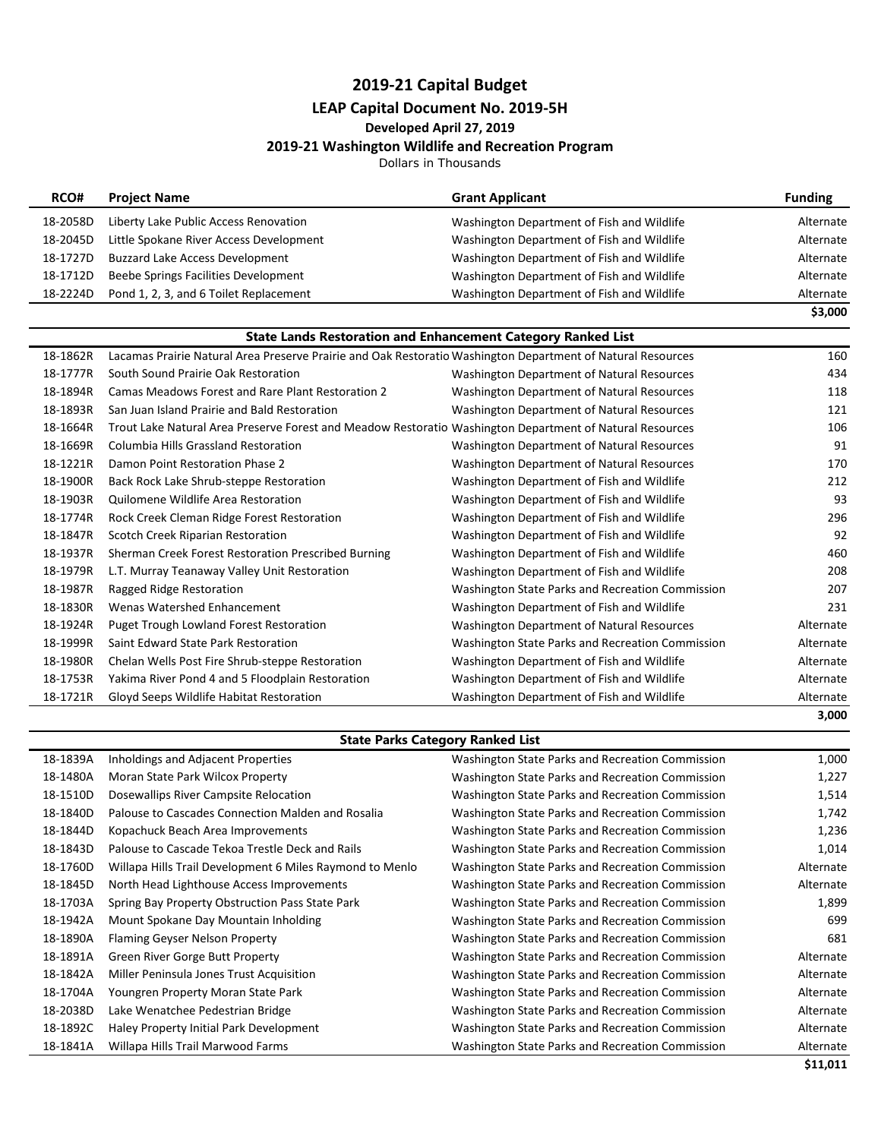## **2019-21 Capital Budget LEAP Capital Document No. 2019-5H**

### **Developed April 27, 2019**

### **2019-21 Washington Wildlife and Recreation Program**

Dollars in Thousands

| RCO#     | <b>Project Name</b>                     | <b>Grant Applicant</b>                     | <b>Funding</b> |
|----------|-----------------------------------------|--------------------------------------------|----------------|
| 18-2058D | Liberty Lake Public Access Renovation   | Washington Department of Fish and Wildlife | Alternate      |
| 18-2045D | Little Spokane River Access Development | Washington Department of Fish and Wildlife | Alternate      |
| 18-1727D | <b>Buzzard Lake Access Development</b>  | Washington Department of Fish and Wildlife | Alternate      |
| 18-1712D | Beebe Springs Facilities Development    | Washington Department of Fish and Wildlife | Alternate      |
| 18-2224D | Pond 1, 2, 3, and 6 Toilet Replacement  | Washington Department of Fish and Wildlife | Alternate      |
|          |                                         |                                            | \$3,000        |

| <b>State Lands Restoration and Enhancement Category Ranked List</b> |                                                                                                             |                                                   |           |
|---------------------------------------------------------------------|-------------------------------------------------------------------------------------------------------------|---------------------------------------------------|-----------|
| 18-1862R                                                            | Lacamas Prairie Natural Area Preserve Prairie and Oak Restoratio Washington Department of Natural Resources |                                                   | 160       |
| 18-1777R                                                            | South Sound Prairie Oak Restoration                                                                         | Washington Department of Natural Resources        | 434       |
| 18-1894R                                                            | Camas Meadows Forest and Rare Plant Restoration 2                                                           | <b>Washington Department of Natural Resources</b> | 118       |
| 18-1893R                                                            | San Juan Island Prairie and Bald Restoration                                                                | Washington Department of Natural Resources        | 121       |
| 18-1664R                                                            | Trout Lake Natural Area Preserve Forest and Meadow Restoratio Washington Department of Natural Resources    |                                                   | 106       |
| 18-1669R                                                            | Columbia Hills Grassland Restoration                                                                        | Washington Department of Natural Resources        | 91        |
| 18-1221R                                                            | Damon Point Restoration Phase 2                                                                             | Washington Department of Natural Resources        | 170       |
| 18-1900R                                                            | Back Rock Lake Shrub-steppe Restoration                                                                     | Washington Department of Fish and Wildlife        | 212       |
| 18-1903R                                                            | Quilomene Wildlife Area Restoration                                                                         | Washington Department of Fish and Wildlife        | 93        |
| 18-1774R                                                            | Rock Creek Cleman Ridge Forest Restoration                                                                  | Washington Department of Fish and Wildlife        | 296       |
| 18-1847R                                                            | Scotch Creek Riparian Restoration                                                                           | Washington Department of Fish and Wildlife        | 92        |
| 18-1937R                                                            | Sherman Creek Forest Restoration Prescribed Burning                                                         | Washington Department of Fish and Wildlife        | 460       |
| 18-1979R                                                            | L.T. Murray Teanaway Valley Unit Restoration                                                                | Washington Department of Fish and Wildlife        | 208       |
| 18-1987R                                                            | Ragged Ridge Restoration                                                                                    | Washington State Parks and Recreation Commission  | 207       |
| 18-1830R                                                            | Wenas Watershed Enhancement                                                                                 | Washington Department of Fish and Wildlife        | 231       |
| 18-1924R                                                            | <b>Puget Trough Lowland Forest Restoration</b>                                                              | Washington Department of Natural Resources        | Alternate |
| 18-1999R                                                            | Saint Edward State Park Restoration                                                                         | Washington State Parks and Recreation Commission  | Alternate |
| 18-1980R                                                            | Chelan Wells Post Fire Shrub-steppe Restoration                                                             | Washington Department of Fish and Wildlife        | Alternate |
| 18-1753R                                                            | Yakima River Pond 4 and 5 Floodplain Restoration                                                            | Washington Department of Fish and Wildlife        | Alternate |
| 18-1721R                                                            | Gloyd Seeps Wildlife Habitat Restoration                                                                    | Washington Department of Fish and Wildlife        | Alternate |
|                                                                     |                                                                                                             |                                                   | 3,000     |

#### **State Parks Category Ranked List**

| 18-1839A | Inholdings and Adjacent Properties                       | Washington State Parks and Recreation Commission | 1,000     |
|----------|----------------------------------------------------------|--------------------------------------------------|-----------|
| 18-1480A | Moran State Park Wilcox Property                         | Washington State Parks and Recreation Commission | 1,227     |
| 18-1510D | Dosewallips River Campsite Relocation                    | Washington State Parks and Recreation Commission | 1,514     |
| 18-1840D | Palouse to Cascades Connection Malden and Rosalia        | Washington State Parks and Recreation Commission | 1,742     |
| 18-1844D | Kopachuck Beach Area Improvements                        | Washington State Parks and Recreation Commission | 1,236     |
| 18-1843D | Palouse to Cascade Tekoa Trestle Deck and Rails          | Washington State Parks and Recreation Commission | 1,014     |
| 18-1760D | Willapa Hills Trail Development 6 Miles Raymond to Menlo | Washington State Parks and Recreation Commission | Alternate |
| 18-1845D | North Head Lighthouse Access Improvements                | Washington State Parks and Recreation Commission | Alternate |
| 18-1703A | Spring Bay Property Obstruction Pass State Park          | Washington State Parks and Recreation Commission | 1,899     |
| 18-1942A | Mount Spokane Day Mountain Inholding                     | Washington State Parks and Recreation Commission | 699       |
| 18-1890A | Flaming Geyser Nelson Property                           | Washington State Parks and Recreation Commission | 681       |
| 18-1891A | Green River Gorge Butt Property                          | Washington State Parks and Recreation Commission | Alternate |
| 18-1842A | Miller Peninsula Jones Trust Acquisition                 | Washington State Parks and Recreation Commission | Alternate |
| 18-1704A | Youngren Property Moran State Park                       | Washington State Parks and Recreation Commission | Alternate |
| 18-2038D | Lake Wenatchee Pedestrian Bridge                         | Washington State Parks and Recreation Commission | Alternate |
| 18-1892C | Haley Property Initial Park Development                  | Washington State Parks and Recreation Commission | Alternate |
| 18-1841A | Willapa Hills Trail Marwood Farms                        | Washington State Parks and Recreation Commission | Alternate |